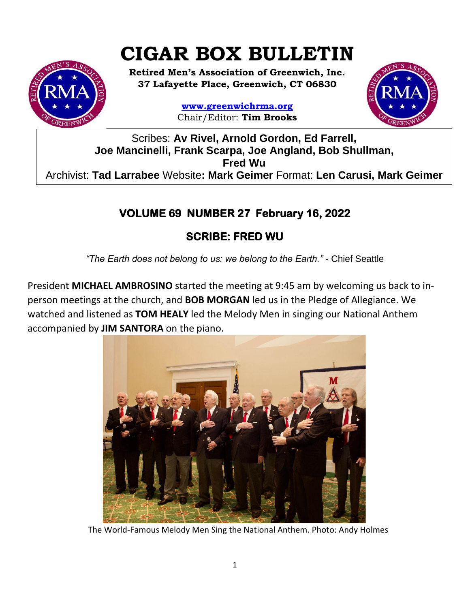# **CIGAR BOX BULLETIN**

**Retired Men's Association of Greenwich, Inc. 37 Lafayette Place, Greenwich, CT 06830**

> **www.greenwichrma.org** Chair/Editor: **Tim Brooks**



Scribes: **Av Rivel, Arnold Gordon, Ed Farrell, Joe Mancinelli, Frank Scarpa, Joe Angland, Bob Shullman, Fred Wu** Archivist: **Tad Larrabee** Website**: Mark Geimer** Format: **Len Carusi, Mark Geimer c**

# **VOLUME 69 NUMBER 27 February 16, 2022**

## **SCRIBE: FRED WU**

*"The Earth does not belong to us: we belong to the Earth."* - Chief Seattle

President **MICHAEL AMBROSINO** started the meeting at 9:45 am by welcoming us back to inperson meetings at the church, and **BOB MORGAN** led us in the Pledge of Allegiance. We watched and listened as **TOM HEALY** led the Melody Men in singing our National Anthem accompanied by **JIM SANTORA** on the piano.



The World-Famous Melody Men Sing the National Anthem. Photo: Andy Holmes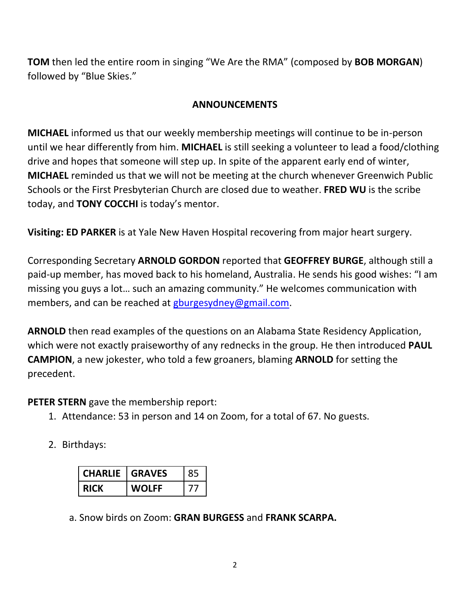**TOM** then led the entire room in singing "We Are the RMA" (composed by **BOB MORGAN**) followed by "Blue Skies."

#### **ANNOUNCEMENTS**

**MICHAEL** informed us that our weekly membership meetings will continue to be in-person until we hear differently from him. **MICHAEL** is still seeking a volunteer to lead a food/clothing drive and hopes that someone will step up. In spite of the apparent early end of winter, **MICHAEL** reminded us that we will not be meeting at the church whenever Greenwich Public Schools or the First Presbyterian Church are closed due to weather. **FRED WU** is the scribe today, and **TONY COCCHI** is today's mentor.

**Visiting: ED PARKER** is at Yale New Haven Hospital recovering from major heart surgery.

Corresponding Secretary **ARNOLD GORDON** reported that **GEOFFREY BURGE**, although still a paid-up member, has moved back to his homeland, Australia. He sends his good wishes: "I am missing you guys a lot… such an amazing community." He welcomes communication with members, and can be reached at [gburgesydney@gmail.com.](mailto:gburgesydney@gmail.com)

**ARNOLD** then read examples of the questions on an Alabama State Residency Application, which were not exactly praiseworthy of any rednecks in the group. He then introduced **PAUL CAMPION**, a new jokester, who told a few groaners, blaming **ARNOLD** for setting the precedent.

**PETER STERN** gave the membership report:

- 1. Attendance: 53 in person and 14 on Zoom, for a total of 67. No guests.
- 2. Birthdays:

| <b>CHARLIE</b> | <b>I GRAVES</b> |  |
|----------------|-----------------|--|
|                | WOLFF           |  |

a. Snow birds on Zoom: **GRAN BURGESS** and **FRANK SCARPA.**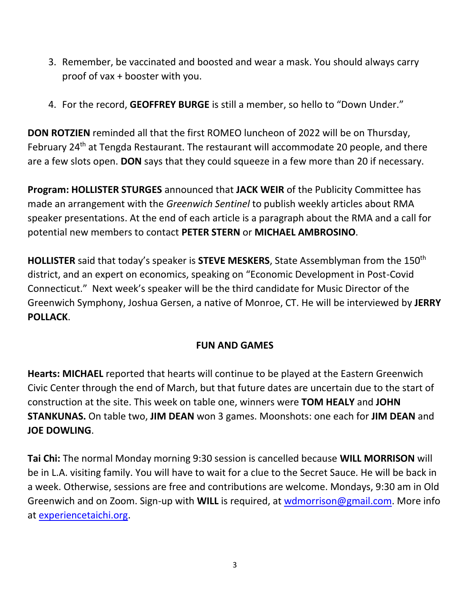- 3. Remember, be vaccinated and boosted and wear a mask. You should always carry proof of vax + booster with you.
- 4. For the record, **GEOFFREY BURGE** is still a member, so hello to "Down Under."

**DON ROTZIEN** reminded all that the first ROMEO luncheon of 2022 will be on Thursday, February 24<sup>th</sup> at Tengda Restaurant. The restaurant will accommodate 20 people, and there are a few slots open. **DON** says that they could squeeze in a few more than 20 if necessary.

**Program: HOLLISTER STURGES** announced that **JACK WEIR** of the Publicity Committee has made an arrangement with the *Greenwich Sentinel* to publish weekly articles about RMA speaker presentations. At the end of each article is a paragraph about the RMA and a call for potential new members to contact **PETER STERN** or **MICHAEL AMBROSINO**.

**HOLLISTER** said that today's speaker is **STEVE MESKERS**, State Assemblyman from the 150th district, and an expert on economics, speaking on "Economic Development in Post-Covid Connecticut." Next week's speaker will be the third candidate for Music Director of the Greenwich Symphony, Joshua Gersen, a native of Monroe, CT. He will be interviewed by **JERRY POLLACK**.

#### **FUN AND GAMES**

**Hearts: MICHAEL** reported that hearts will continue to be played at the Eastern Greenwich Civic Center through the end of March, but that future dates are uncertain due to the start of construction at the site. This week on table one, winners were **TOM HEALY** and **JOHN STANKUNAS.** On table two, **JIM DEAN** won 3 games. Moonshots: one each for **JIM DEAN** and **JOE DOWLING**.

**Tai Chi:** The normal Monday morning 9:30 session is cancelled because **WILL MORRISON** will be in L.A. visiting family. You will have to wait for a clue to the Secret Sauce. He will be back in a week. Otherwise, sessions are free and contributions are welcome. Mondays, 9:30 am in Old Greenwich and on Zoom. Sign-up with **WILL** is required, at [wdmorrison@gmail.com.](mailto:wdmorrison@gmail.com) More info at [experiencetaichi.org.](https://experiencetaichi.org/)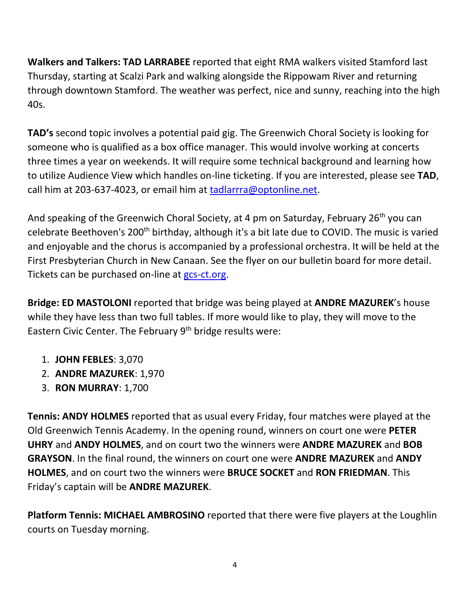**Walkers and Talkers: TAD LARRABEE** reported that eight RMA walkers visited Stamford last Thursday, starting at Scalzi Park and walking alongside the Rippowam River and returning through downtown Stamford. The weather was perfect, nice and sunny, reaching into the high 40s.

**TAD's** second topic involves a potential paid gig. The Greenwich Choral Society is looking for someone who is qualified as a box office manager. This would involve working at concerts three times a year on weekends. It will require some technical background and learning how to utilize Audience View which handles on-line ticketing. If you are interested, please see **TAD**, call him at 203-637-4023, or email him at [tadlarrra@optonline.net.](mailto:tadlarrra@optonline.net)

And speaking of the Greenwich Choral Society, at 4 pm on Saturday, February 26<sup>th</sup> you can celebrate Beethoven's 200<sup>th</sup> birthday, although it's a bit late due to COVID. The music is varied and enjoyable and the chorus is accompanied by a professional orchestra. It will be held at the First Presbyterian Church in New Canaan. See the flyer on our bulletin board for more detail. Tickets can be purchased on-line at [gcs-ct.org.](http://www.gcs-ct.org/)

**Bridge: ED MASTOLONI** reported that bridge was being played at **ANDRE MAZUREK**'s house while they have less than two full tables. If more would like to play, they will move to the Eastern Civic Center. The February 9<sup>th</sup> bridge results were:

- 1. **JOHN FEBLES**: 3,070
- 2. **ANDRE MAZUREK**: 1,970
- 3. **RON MURRAY**: 1,700

**Tennis: ANDY HOLMES** reported that as usual every Friday, four matches were played at the Old Greenwich Tennis Academy. In the opening round, winners on court one were **PETER UHRY** and **ANDY HOLMES**, and on court two the winners were **ANDRE MAZUREK** and **BOB GRAYSON**. In the final round, the winners on court one were **ANDRE MAZUREK** and **ANDY HOLMES**, and on court two the winners were **BRUCE SOCKET** and **RON FRIEDMAN**. This Friday's captain will be **ANDRE MAZUREK**.

**Platform Tennis: MICHAEL AMBROSINO** reported that there were five players at the Loughlin courts on Tuesday morning.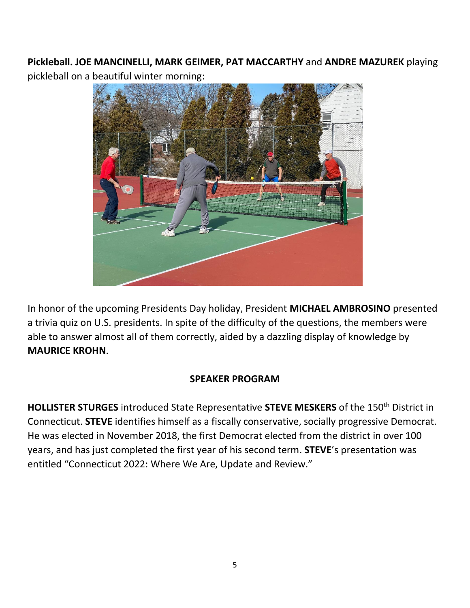**Pickleball. JOE MANCINELLI, MARK GEIMER, PAT MACCARTHY** and **ANDRE MAZUREK** playing pickleball on a beautiful winter morning:



In honor of the upcoming Presidents Day holiday, President **MICHAEL AMBROSINO** presented a trivia quiz on U.S. presidents. In spite of the difficulty of the questions, the members were able to answer almost all of them correctly, aided by a dazzling display of knowledge by **MAURICE KROHN**.

#### **SPEAKER PROGRAM**

**HOLLISTER STURGES** introduced State Representative **STEVE MESKERS** of the 150th District in Connecticut. **STEVE** identifies himself as a fiscally conservative, socially progressive Democrat. He was elected in November 2018, the first Democrat elected from the district in over 100 years, and has just completed the first year of his second term. **STEVE**'s presentation was entitled "Connecticut 2022: Where We Are, Update and Review."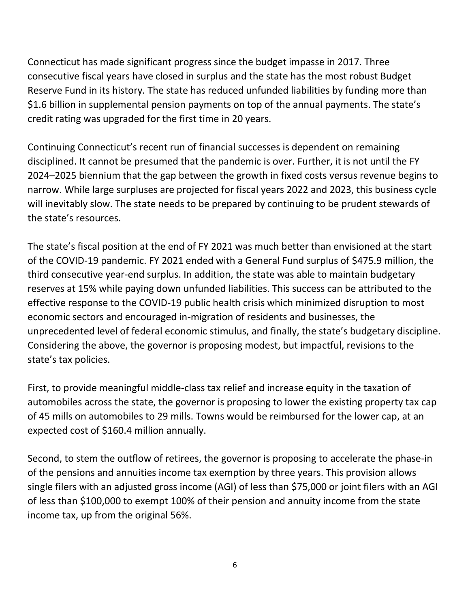Connecticut has made significant progress since the budget impasse in 2017. Three consecutive fiscal years have closed in surplus and the state has the most robust Budget Reserve Fund in its history. The state has reduced unfunded liabilities by funding more than \$1.6 billion in supplemental pension payments on top of the annual payments. The state's credit rating was upgraded for the first time in 20 years.

Continuing Connecticut's recent run of financial successes is dependent on remaining disciplined. It cannot be presumed that the pandemic is over. Further, it is not until the FY 2024–2025 biennium that the gap between the growth in fixed costs versus revenue begins to narrow. While large surpluses are projected for fiscal years 2022 and 2023, this business cycle will inevitably slow. The state needs to be prepared by continuing to be prudent stewards of the state's resources.

The state's fiscal position at the end of FY 2021 was much better than envisioned at the start of the COVID-19 pandemic. FY 2021 ended with a General Fund surplus of \$475.9 million, the third consecutive year-end surplus. In addition, the state was able to maintain budgetary reserves at 15% while paying down unfunded liabilities. This success can be attributed to the effective response to the COVID-19 public health crisis which minimized disruption to most economic sectors and encouraged in-migration of residents and businesses, the unprecedented level of federal economic stimulus, and finally, the state's budgetary discipline. Considering the above, the governor is proposing modest, but impactful, revisions to the state's tax policies.

First, to provide meaningful middle-class tax relief and increase equity in the taxation of automobiles across the state, the governor is proposing to lower the existing property tax cap of 45 mills on automobiles to 29 mills. Towns would be reimbursed for the lower cap, at an expected cost of \$160.4 million annually.

Second, to stem the outflow of retirees, the governor is proposing to accelerate the phase-in of the pensions and annuities income tax exemption by three years. This provision allows single filers with an adjusted gross income (AGI) of less than \$75,000 or joint filers with an AGI of less than \$100,000 to exempt 100% of their pension and annuity income from the state income tax, up from the original 56%.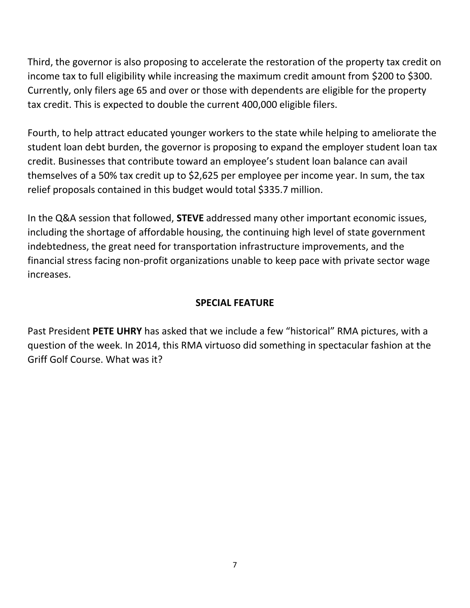Third, the governor is also proposing to accelerate the restoration of the property tax credit on income tax to full eligibility while increasing the maximum credit amount from \$200 to \$300. Currently, only filers age 65 and over or those with dependents are eligible for the property tax credit. This is expected to double the current 400,000 eligible filers.

Fourth, to help attract educated younger workers to the state while helping to ameliorate the student loan debt burden, the governor is proposing to expand the employer student loan tax credit. Businesses that contribute toward an employee's student loan balance can avail themselves of a 50% tax credit up to \$2,625 per employee per income year. In sum, the tax relief proposals contained in this budget would total \$335.7 million.

In the Q&A session that followed, **STEVE** addressed many other important economic issues, including the shortage of affordable housing, the continuing high level of state government indebtedness, the great need for transportation infrastructure improvements, and the financial stress facing non-profit organizations unable to keep pace with private sector wage increases.

#### **SPECIAL FEATURE**

Past President **PETE UHRY** has asked that we include a few "historical" RMA pictures, with a question of the week. In 2014, this RMA virtuoso did something in spectacular fashion at the Griff Golf Course. What was it?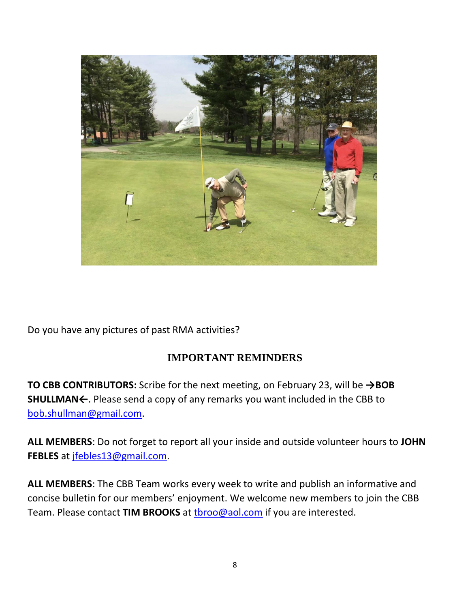

Do you have any pictures of past RMA activities?

### **IMPORTANT REMINDERS**

**TO CBB CONTRIBUTORS:** Scribe for the next meeting, on February 23, will be **→BOB SHULLMAN←**. Please send a copy of any remarks you want included in the CBB to [bob.shullman@gmail.com.](mailto:bob.shullman@gmail.com)

**ALL MEMBERS**: Do not forget to report all your inside and outside volunteer hours to **JOHN FEBLES** at [jfebles13@gmail.com.](mailto:jfebles13@gmail.com)

**ALL MEMBERS**: The CBB Team works every week to write and publish an informative and concise bulletin for our members' enjoyment. We welcome new members to join the CBB Team. Please contact **TIM BROOKS** at [tbroo@aol.com](mailto:tbroo@aol.com) if you are interested.